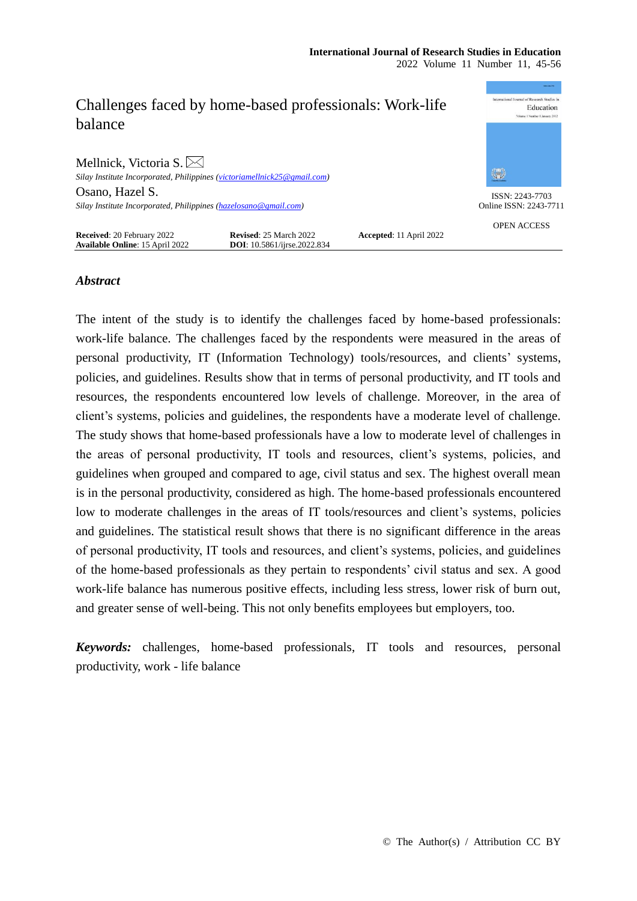| Challenges faced by home-based professionals: Work-life<br>balance          |                                                              |                         | International Journal of Research Studies in<br>Education<br>Volume 1 Number 1 January 2012 |
|-----------------------------------------------------------------------------|--------------------------------------------------------------|-------------------------|---------------------------------------------------------------------------------------------|
| Mellnick, Victoria S. $\boxtimes$                                           |                                                              |                         | 編                                                                                           |
| Silay Institute Incorporated, Philippines (victoriamellnick25@gmail.com)    |                                                              |                         |                                                                                             |
| Osano, Hazel S.                                                             |                                                              |                         | ISSN: 2243-7703                                                                             |
| Silay Institute Incorporated, Philippines (hazelosano@gmail.com)            |                                                              | Online ISSN: 2243-7711  |                                                                                             |
| <b>Received: 20 February 2022</b><br><b>Available Online: 15 April 2022</b> | Revised: 25 March 2022<br><b>DOI:</b> 10.5861/jirse.2022.834 | Accepted: 11 April 2022 | <b>OPEN ACCESS</b>                                                                          |

# *Abstract*

The intent of the study is to identify the challenges faced by home-based professionals: work-life balance. The challenges faced by the respondents were measured in the areas of personal productivity, IT (Information Technology) tools/resources, and clients' systems, policies, and guidelines. Results show that in terms of personal productivity, and IT tools and resources, the respondents encountered low levels of challenge. Moreover, in the area of client's systems, policies and guidelines, the respondents have a moderate level of challenge. The study shows that home-based professionals have a low to moderate level of challenges in the areas of personal productivity, IT tools and resources, client's systems, policies, and guidelines when grouped and compared to age, civil status and sex. The highest overall mean is in the personal productivity, considered as high. The home-based professionals encountered low to moderate challenges in the areas of IT tools/resources and client's systems, policies and guidelines. The statistical result shows that there is no significant difference in the areas of personal productivity, IT tools and resources, and client's systems, policies, and guidelines of the home-based professionals as they pertain to respondents' civil status and sex. A good work-life balance has numerous positive effects, including less stress, lower risk of burn out, and greater sense of well-being. This not only benefits employees but employers, too.

*Keywords:* challenges, home-based professionals, IT tools and resources, personal productivity, work - life balance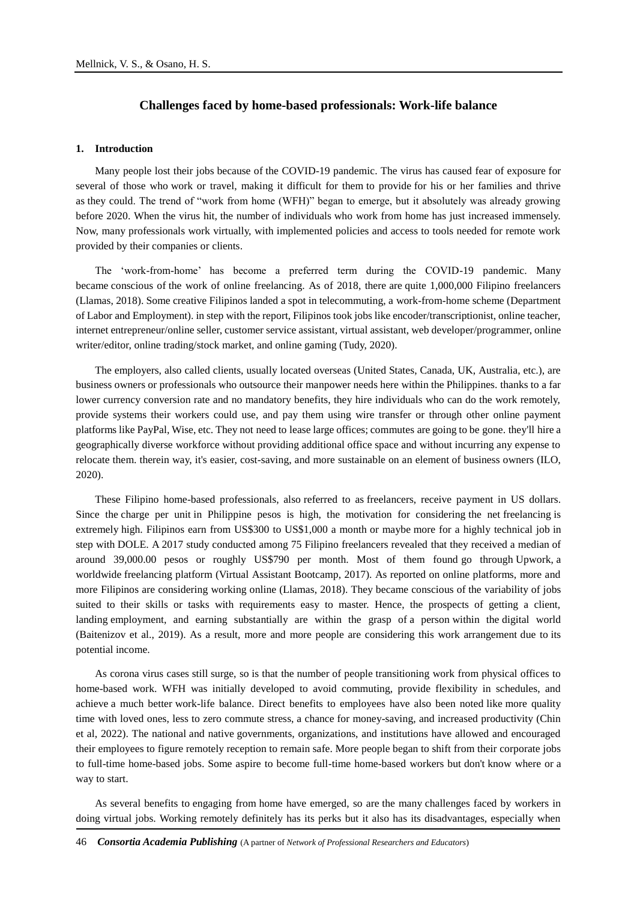# **Challenges faced by home-based professionals: Work-life balance**

### **1. Introduction**

Many people lost their jobs because of the COVID-19 pandemic. The virus has caused fear of exposure for several of those who work or travel, making it difficult for them to provide for his or her families and thrive as they could. The trend of "work from home (WFH)" began to emerge, but it absolutely was already growing before 2020. When the virus hit, the number of individuals who work from home has just increased immensely. Now, many professionals work virtually, with implemented policies and access to tools needed for remote work provided by their companies or clients.

The 'work-from-home' has become a preferred term during the COVID-19 pandemic. Many became conscious of the work of online freelancing. As of 2018, there are quite 1,000,000 Filipino freelancers (Llamas, 2018). Some creative Filipinos landed a spot in telecommuting, a work-from-home scheme (Department of Labor and Employment). in step with the report, Filipinos took jobs like encoder/transcriptionist, online teacher, internet entrepreneur/online seller, customer service assistant, virtual assistant, web developer/programmer, online writer/editor, online trading/stock market, and online gaming (Tudy, 2020).

The employers, also called clients, usually located overseas (United States, Canada, UK, Australia, etc.), are business owners or professionals who outsource their manpower needs here within the Philippines. thanks to a far lower currency conversion rate and no mandatory benefits, they hire individuals who can do the work remotely, provide systems their workers could use, and pay them using wire transfer or through other online payment platforms like PayPal, Wise, etc. They not need to lease large offices; commutes are going to be gone. they'll hire a geographically diverse workforce without providing additional office space and without incurring any expense to relocate them. therein way, it's easier, cost-saving, and more sustainable on an element of business owners (ILO, 2020).

These Filipino home-based professionals, also referred to as freelancers, receive payment in US dollars. Since the charge per unit in Philippine pesos is high, the motivation for considering the net freelancing is extremely high. Filipinos earn from US\$300 to US\$1,000 a month or maybe more for a highly technical job in step with DOLE. A 2017 study conducted among 75 Filipino freelancers revealed that they received a median of around 39,000.00 pesos or roughly US\$790 per month. Most of them found go through Upwork, a worldwide freelancing platform (Virtual Assistant Bootcamp, 2017). As reported on online platforms, more and more Filipinos are considering working online (Llamas, 2018). They became conscious of the variability of jobs suited to their skills or tasks with requirements easy to master. Hence, the prospects of getting a client, landing employment, and earning substantially are within the grasp of a person within the digital world (Baitenizov et al., 2019). As a result, more and more people are considering this work arrangement due to its potential income.

As corona virus cases still surge, so is that the number of people transitioning work from physical offices to home-based work. WFH was initially developed to avoid commuting, provide flexibility in schedules, and achieve a much better work-life balance. Direct benefits to employees have also been noted like more quality time with loved ones, less to zero commute stress, a chance for money-saving, and increased productivity (Chin et al, 2022). The national and native governments, organizations, and institutions have allowed and encouraged their employees to figure remotely reception to remain safe. More people began to shift from their corporate jobs to full-time home-based jobs. Some aspire to become full-time home-based workers but don't know where or a way to start.

As several benefits to engaging from home have emerged, so are the many challenges faced by workers in doing virtual jobs. Working remotely definitely has its perks but it also has its disadvantages, especially when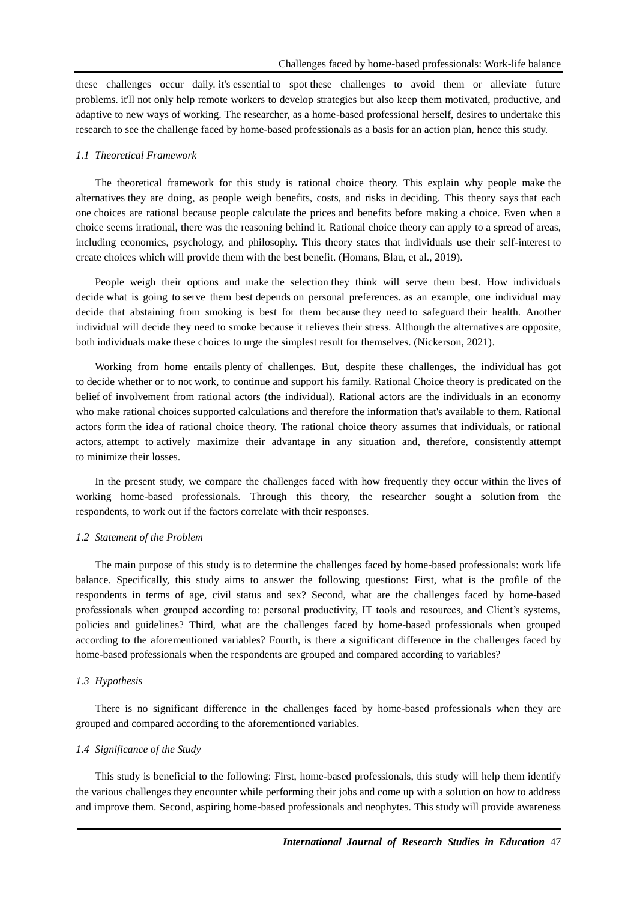these challenges occur daily. it's essential to spot these challenges to avoid them or alleviate future problems. it'll not only help remote workers to develop strategies but also keep them motivated, productive, and adaptive to new ways of working. The researcher, as a home-based professional herself, desires to undertake this research to see the challenge faced by home-based professionals as a basis for an action plan, hence this study.

#### *1.1 Theoretical Framework*

The theoretical framework for this study is rational choice theory. This explain why people make the alternatives they are doing, as people weigh benefits, costs, and risks in deciding. This theory says that each one choices are rational because people calculate the prices and benefits before making a choice. Even when a choice seems irrational, there was the reasoning behind it. Rational choice theory can apply to a spread of areas, including economics, psychology, and philosophy. This theory states that individuals use their self-interest to create choices which will provide them with the best benefit. (Homans, Blau, et al., 2019).

People weigh their options and make the selection they think will serve them best. How individuals decide what is going to serve them best depends on personal preferences. as an example, one individual may decide that abstaining from smoking is best for them because they need to safeguard their health. Another individual will decide they need to smoke because it relieves their stress. Although the alternatives are opposite, both individuals make these choices to urge the simplest result for themselves. (Nickerson, 2021).

Working from home entails plenty of challenges. But, despite these challenges, the individual has got to decide whether or to not work, to continue and support his family. Rational Choice theory is predicated on the belief of involvement from rational actors (the individual). Rational actors are the individuals in an economy who make rational choices supported calculations and therefore the information that's available to them. Rational actors form the idea of rational choice theory. The rational choice theory assumes that individuals, or rational actors, attempt to actively maximize their advantage in any situation and, therefore, consistently attempt to minimize their losses.

In the present study, we compare the challenges faced with how frequently they occur within the lives of working home-based professionals. Through this theory, the researcher sought a solution from the respondents, to work out if the factors correlate with their responses.

### *1.2 Statement of the Problem*

The main purpose of this study is to determine the challenges faced by home-based professionals: work life balance. Specifically, this study aims to answer the following questions: First, what is the profile of the respondents in terms of age, civil status and sex? Second, what are the challenges faced by home-based professionals when grouped according to: personal productivity, IT tools and resources, and Client's systems, policies and guidelines? Third, what are the challenges faced by home-based professionals when grouped according to the aforementioned variables? Fourth, is there a significant difference in the challenges faced by home-based professionals when the respondents are grouped and compared according to variables?

#### *1.3 Hypothesis*

There is no significant difference in the challenges faced by home-based professionals when they are grouped and compared according to the aforementioned variables.

#### *1.4 Significance of the Study*

This study is beneficial to the following: First, home-based professionals, this study will help them identify the various challenges they encounter while performing their jobs and come up with a solution on how to address and improve them. Second, aspiring home-based professionals and neophytes. This study will provide awareness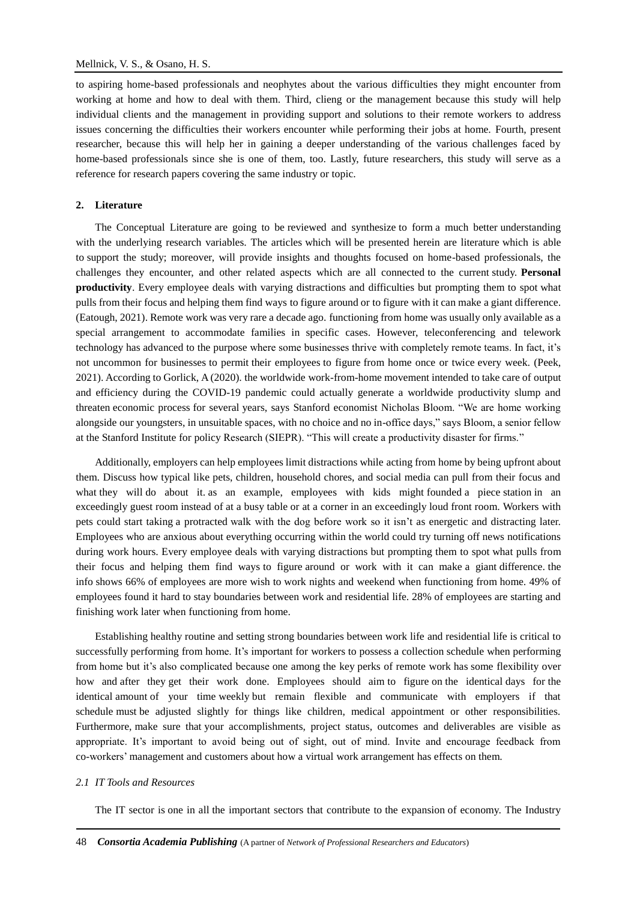to aspiring home-based professionals and neophytes about the various difficulties they might encounter from working at home and how to deal with them. Third, clieng or the management because this study will help individual clients and the management in providing support and solutions to their remote workers to address issues concerning the difficulties their workers encounter while performing their jobs at home. Fourth, present researcher, because this will help her in gaining a deeper understanding of the various challenges faced by home-based professionals since she is one of them, too. Lastly, future researchers, this study will serve as a reference for research papers covering the same industry or topic.

# **2. Literature**

The Conceptual Literature are going to be reviewed and synthesize to form a much better understanding with the underlying research variables. The articles which will be presented herein are literature which is able to support the study; moreover, will provide insights and thoughts focused on home-based professionals, the challenges they encounter, and other related aspects which are all connected to the current study. **Personal productivity**. Every employee deals with varying distractions and difficulties but prompting them to spot what pulls from their focus and helping them find ways to figure around or to figure with it can make a giant difference. (Eatough, 2021). Remote work was very rare a decade ago. functioning from home was usually only available as a special arrangement to accommodate families in specific cases. However, teleconferencing and telework technology has advanced to the purpose where some businesses thrive with completely remote teams. In fact, it's not uncommon for businesses to permit their employees to figure from home once or twice every week. (Peek, 2021). According to Gorlick, A (2020). the worldwide work-from-home movement intended to take care of output and efficiency during the COVID-19 pandemic could actually generate a worldwide productivity slump and threaten economic process for several years, says Stanford economist Nicholas Bloom. "We are home working alongside our youngsters, in unsuitable spaces, with no choice and no in-office days," says Bloom, a senior fellow at the Stanford Institute for policy Research (SIEPR). "This will create a productivity disaster for firms."

Additionally, employers can help employees limit distractions while acting from home by being upfront about them. Discuss how typical like pets, children, household chores, and social media can pull from their focus and what they will do about it. as an example, employees with kids might founded a piece station in an exceedingly guest room instead of at a busy table or at a corner in an exceedingly loud front room. Workers with pets could start taking a protracted walk with the dog before work so it isn't as energetic and distracting later. Employees who are anxious about everything occurring within the world could try turning off news notifications during work hours. Every employee deals with varying distractions but prompting them to spot what pulls from their focus and helping them find ways to figure around or work with it can make a giant difference. the info shows 66% of employees are more wish to work nights and weekend when functioning from home. 49% of employees found it hard to stay boundaries between work and residential life. 28% of employees are starting and finishing work later when functioning from home.

Establishing healthy routine and setting strong boundaries between work life and residential life is critical to successfully performing from home. It's important for workers to possess a collection schedule when performing from home but it's also complicated because one among the key perks of remote work has some flexibility over how and after they get their work done. Employees should aim to figure on the identical days for the identical amount of your time weekly but remain flexible and communicate with employers if that schedule must be adjusted slightly for things like children, medical appointment or other responsibilities. Furthermore, make sure that your accomplishments, project status, outcomes and deliverables are visible as appropriate. It's important to avoid being out of sight, out of mind. Invite and encourage feedback from co-workers' management and customers about how a virtual work arrangement has effects on them.

#### *2.1 IT Tools and Resources*

The IT sector is one in all the important sectors that contribute to the expansion of economy. The Industry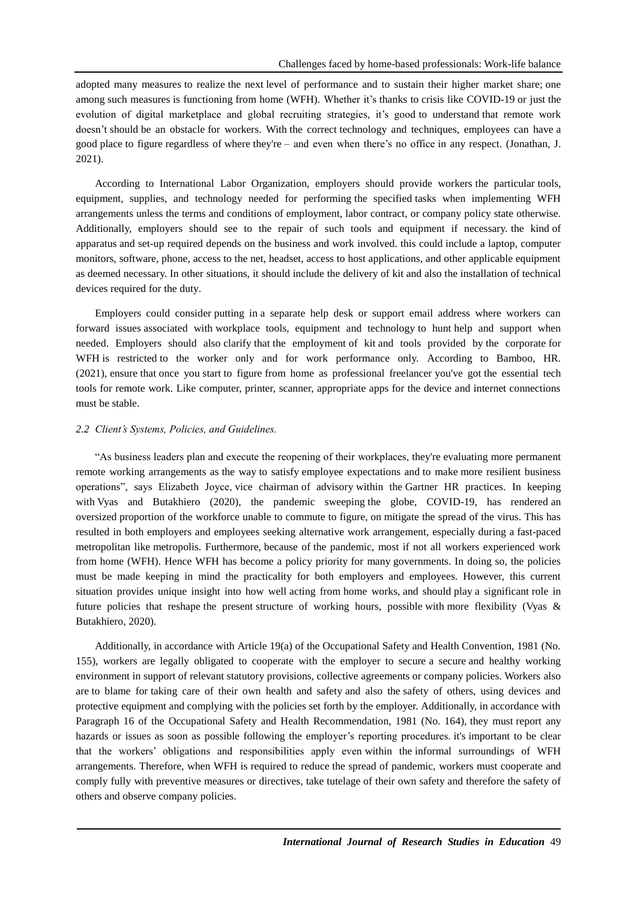adopted many measures to realize the next level of performance and to sustain their higher market share; one among such measures is functioning from home (WFH). Whether it's thanks to crisis like COVID-19 or just the evolution of digital marketplace and global recruiting strategies, it's good to understand that remote work doesn't should be an obstacle for workers. With the correct technology and techniques, employees can have a good place to figure regardless of where they're – and even when there's no office in any respect. (Jonathan, J. 2021).

According to International Labor Organization, employers should provide workers the particular tools, equipment, supplies, and technology needed for performing the specified tasks when implementing WFH arrangements unless the terms and conditions of employment, labor contract, or company policy state otherwise. Additionally, employers should see to the repair of such tools and equipment if necessary. the kind of apparatus and set-up required depends on the business and work involved. this could include a laptop, computer monitors, software, phone, access to the net, headset, access to host applications, and other applicable equipment as deemed necessary. In other situations, it should include the delivery of kit and also the installation of technical devices required for the duty.

Employers could consider putting in a separate help desk or support email address where workers can forward issues associated with workplace tools, equipment and technology to hunt help and support when needed. Employers should also clarify that the employment of kit and tools provided by the corporate for WFH is restricted to the worker only and for work performance only. According to Bamboo, HR. (2021), ensure that once you start to figure from home as professional freelancer you've got the essential tech tools for remote work. Like computer, printer, scanner, appropriate apps for the device and internet connections must be stable.

# *2.2 Client's Systems, Policies, and Guidelines.*

"As business leaders plan and execute the reopening of their workplaces, they're evaluating more permanent remote working arrangements as the way to satisfy employee expectations and to make more resilient business operations", says Elizabeth Joyce, vice chairman of advisory within the Gartner HR practices. In keeping with Vyas and Butakhiero (2020), the pandemic sweeping the globe, COVID-19, has rendered an oversized proportion of the workforce unable to commute to figure, on mitigate the spread of the virus. This has resulted in both employers and employees seeking alternative work arrangement, especially during a fast-paced metropolitan like metropolis. Furthermore, because of the pandemic, most if not all workers experienced work from home (WFH). Hence WFH has become a policy priority for many governments. In doing so, the policies must be made keeping in mind the practicality for both employers and employees. However, this current situation provides unique insight into how well acting from home works, and should play a significant role in future policies that reshape the present structure of working hours, possible with more flexibility (Vyas & Butakhiero, 2020).

Additionally, in accordance with Article 19(a) of the Occupational Safety and Health Convention, 1981 (No. 155), workers are legally obligated to cooperate with the employer to secure a secure and healthy working environment in support of relevant statutory provisions, collective agreements or company policies. Workers also are to blame for taking care of their own health and safety and also the safety of others, using devices and protective equipment and complying with the policies set forth by the employer. Additionally, in accordance with Paragraph 16 of the Occupational Safety and Health Recommendation, 1981 (No. 164), they must report any hazards or issues as soon as possible following the employer's reporting procedures. it's important to be clear that the workers' obligations and responsibilities apply even within the informal surroundings of WFH arrangements. Therefore, when WFH is required to reduce the spread of pandemic, workers must cooperate and comply fully with preventive measures or directives, take tutelage of their own safety and therefore the safety of others and observe company policies.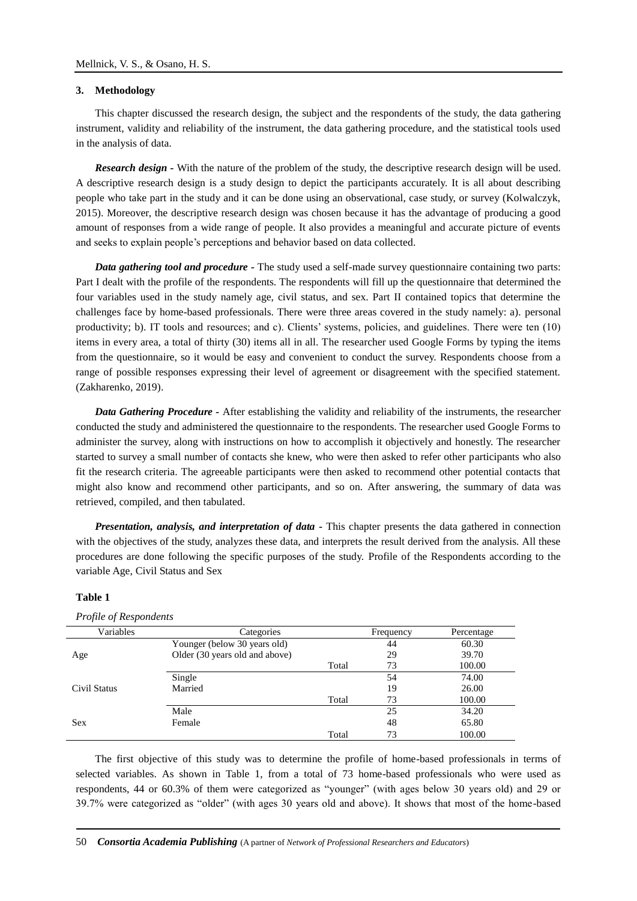## **3. Methodology**

This chapter discussed the research design, the subject and the respondents of the study, the data gathering instrument, validity and reliability of the instrument, the data gathering procedure, and the statistical tools used in the analysis of data.

*Research design* - With the nature of the problem of the study, the descriptive research design will be used. A descriptive research design is a study design to depict the participants accurately. It is all about describing people who take part in the study and it can be done using an observational, case study, or survey (Kolwalczyk, 2015). Moreover, the descriptive research design was chosen because it has the advantage of producing a good amount of responses from a wide range of people. It also provides a meaningful and accurate picture of events and seeks to explain people's perceptions and behavior based on data collected.

*Data gathering tool and procedure -* The study used a self-made survey questionnaire containing two parts: Part I dealt with the profile of the respondents. The respondents will fill up the questionnaire that determined the four variables used in the study namely age, civil status, and sex. Part II contained topics that determine the challenges face by home-based professionals. There were three areas covered in the study namely: a). personal productivity; b). IT tools and resources; and c). Clients' systems, policies, and guidelines. There were ten (10) items in every area, a total of thirty (30) items all in all. The researcher used Google Forms by typing the items from the questionnaire, so it would be easy and convenient to conduct the survey. Respondents choose from a range of possible responses expressing their level of agreement or disagreement with the specified statement. (Zakharenko, 2019).

*Data Gathering Procedure -* After establishing the validity and reliability of the instruments, the researcher conducted the study and administered the questionnaire to the respondents. The researcher used Google Forms to administer the survey, along with instructions on how to accomplish it objectively and honestly. The researcher started to survey a small number of contacts she knew, who were then asked to refer other participants who also fit the research criteria. The agreeable participants were then asked to recommend other potential contacts that might also know and recommend other participants, and so on. After answering, the summary of data was retrieved, compiled, and then tabulated.

*Presentation, analysis, and interpretation of data -* This chapter presents the data gathered in connection with the objectives of the study, analyzes these data, and interprets the result derived from the analysis. All these procedures are done following the specific purposes of the study. Profile of the Respondents according to the variable Age, Civil Status and Sex

### **Table 1**

*Profile of Respondents*

| Variables    | Categories                     |       | Frequency | Percentage |
|--------------|--------------------------------|-------|-----------|------------|
|              | Younger (below 30 years old)   |       | 44        | 60.30      |
| Age          | Older (30 years old and above) |       | 29        | 39.70      |
|              |                                | Total | 73        | 100.00     |
| Civil Status | Single                         |       | 54        | 74.00      |
|              | Married                        |       | 19        | 26.00      |
|              |                                | Total | 73        | 100.00     |
| <b>Sex</b>   | Male                           |       | 25        | 34.20      |
|              | Female                         |       | 48        | 65.80      |
|              |                                | Total | 73        | 100.00     |

The first objective of this study was to determine the profile of home-based professionals in terms of selected variables. As shown in Table 1, from a total of 73 home-based professionals who were used as respondents, 44 or 60.3% of them were categorized as "younger" (with ages below 30 years old) and 29 or 39.7% were categorized as "older" (with ages 30 years old and above). It shows that most of the home-based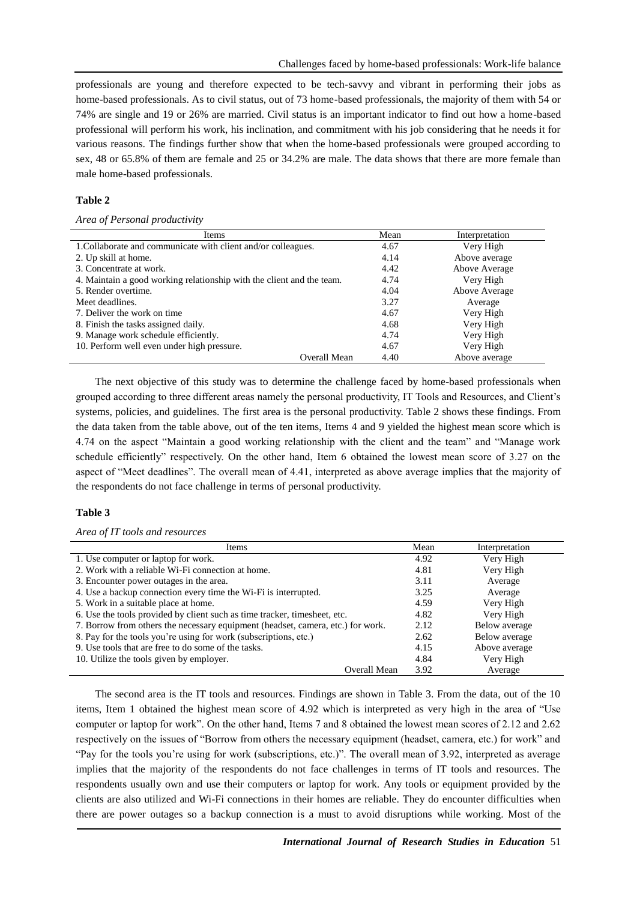professionals are young and therefore expected to be tech-savvy and vibrant in performing their jobs as home-based professionals. As to civil status, out of 73 home-based professionals, the majority of them with 54 or 74% are single and 19 or 26% are married. Civil status is an important indicator to find out how a home-based professional will perform his work, his inclination, and commitment with his job considering that he needs it for various reasons. The findings further show that when the home-based professionals were grouped according to sex, 48 or 65.8% of them are female and 25 or 34.2% are male. The data shows that there are more female than male home-based professionals.

# **Table 2**

# *Area of Personal productivity*

| Items                                                                 | Mean | Interpretation |
|-----------------------------------------------------------------------|------|----------------|
| 1. Collaborate and communicate with client and/or colleagues.         | 4.67 | Very High      |
| 2. Up skill at home.                                                  | 4.14 | Above average  |
| 3. Concentrate at work.                                               | 4.42 | Above Average  |
| 4. Maintain a good working relationship with the client and the team. | 4.74 | Very High      |
| 5. Render overtime.                                                   | 4.04 | Above Average  |
| Meet deadlines.                                                       | 3.27 | Average        |
| 7. Deliver the work on time                                           | 4.67 | Very High      |
| 8. Finish the tasks assigned daily.                                   | 4.68 | Very High      |
| 9. Manage work schedule efficiently.                                  | 4.74 | Very High      |
| 10. Perform well even under high pressure.                            | 4.67 | Very High      |
| Overall Mean                                                          | 4.40 | Above average  |

The next objective of this study was to determine the challenge faced by home-based professionals when grouped according to three different areas namely the personal productivity, IT Tools and Resources, and Client's systems, policies, and guidelines. The first area is the personal productivity. Table 2 shows these findings. From the data taken from the table above, out of the ten items, Items 4 and 9 yielded the highest mean score which is 4.74 on the aspect "Maintain a good working relationship with the client and the team" and "Manage work schedule efficiently" respectively. On the other hand, Item 6 obtained the lowest mean score of 3.27 on the aspect of "Meet deadlines". The overall mean of 4.41, interpreted as above average implies that the majority of the respondents do not face challenge in terms of personal productivity.

# **Table 3**

## *Area of IT tools and resources*

| Items                                                                           |      | Interpretation |
|---------------------------------------------------------------------------------|------|----------------|
| 1. Use computer or laptop for work.                                             |      | Very High      |
| 2. Work with a reliable Wi-Fi connection at home.                               |      | Very High      |
| 3. Encounter power outages in the area.                                         |      | Average        |
| 4. Use a backup connection every time the Wi-Fi is interrupted.                 |      | Average        |
| 5. Work in a suitable place at home.                                            |      | Very High      |
| 6. Use the tools provided by client such as time tracker, timesheet, etc.       |      | Very High      |
| 7. Borrow from others the necessary equipment (headset, camera, etc.) for work. |      | Below average  |
| 8. Pay for the tools you're using for work (subscriptions, etc.)                |      | Below average  |
| 9. Use tools that are free to do some of the tasks.                             |      | Above average  |
| 10. Utilize the tools given by employer.                                        | 4.84 | Very High      |
| Overall Mean                                                                    | 3.92 | Average        |

The second area is the IT tools and resources. Findings are shown in Table 3. From the data, out of the 10 items, Item 1 obtained the highest mean score of 4.92 which is interpreted as very high in the area of "Use computer or laptop for work". On the other hand, Items 7 and 8 obtained the lowest mean scores of 2.12 and 2.62 respectively on the issues of "Borrow from others the necessary equipment (headset, camera, etc.) for work" and "Pay for the tools you're using for work (subscriptions, etc.)". The overall mean of 3.92, interpreted as average implies that the majority of the respondents do not face challenges in terms of IT tools and resources. The respondents usually own and use their computers or laptop for work. Any tools or equipment provided by the clients are also utilized and Wi-Fi connections in their homes are reliable. They do encounter difficulties when there are power outages so a backup connection is a must to avoid disruptions while working. Most of the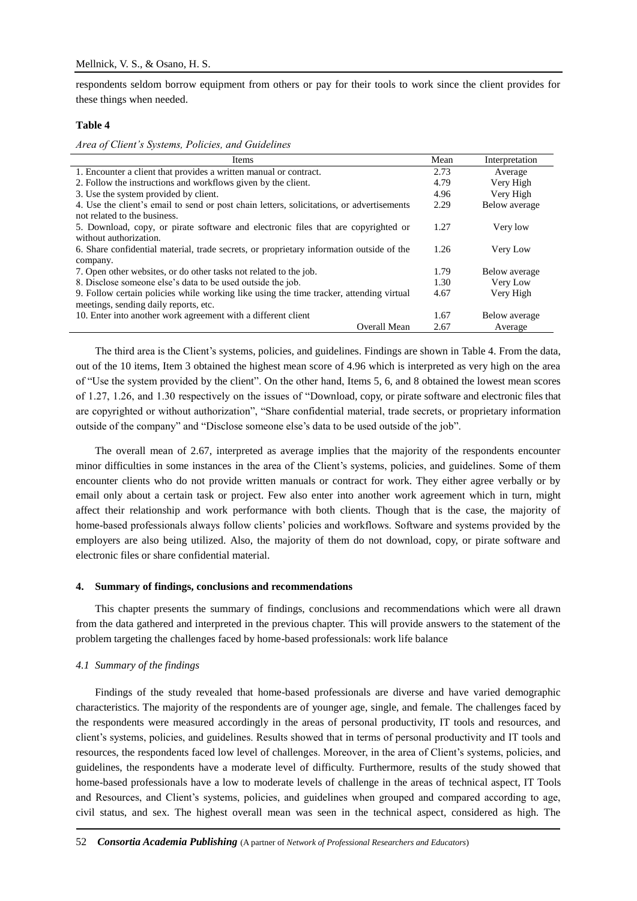respondents seldom borrow equipment from others or pay for their tools to work since the client provides for these things when needed.

#### **Table 4**

*Area of Client's Systems, Policies, and Guidelines*

| Items                                                                                     | Mean | Interpretation |
|-------------------------------------------------------------------------------------------|------|----------------|
| 1. Encounter a client that provides a written manual or contract.                         |      | Average        |
| 2. Follow the instructions and workflows given by the client.                             | 4.79 | Very High      |
| 3. Use the system provided by client.                                                     |      | Very High      |
| 4. Use the client's email to send or post chain letters, solicitations, or advertisements |      | Below average  |
| not related to the business.                                                              |      |                |
| 5. Download, copy, or pirate software and electronic files that are copyrighted or        | 1.27 | Very low       |
| without authorization.                                                                    |      |                |
| 6. Share confidential material, trade secrets, or proprietary information outside of the  |      | Very Low       |
| company.                                                                                  |      |                |
| 7. Open other websites, or do other tasks not related to the job.                         |      | Below average  |
| 8. Disclose someone else's data to be used outside the job.                               |      | Very Low       |
| 9. Follow certain policies while working like using the time tracker, attending virtual   |      | Very High      |
| meetings, sending daily reports, etc.                                                     |      |                |
| 10. Enter into another work agreement with a different client                             | 1.67 | Below average  |
| Overall Mean                                                                              | 2.67 | Average        |

The third area is the Client's systems, policies, and guidelines. Findings are shown in Table 4. From the data, out of the 10 items, Item 3 obtained the highest mean score of 4.96 which is interpreted as very high on the area of "Use the system provided by the client". On the other hand, Items 5, 6, and 8 obtained the lowest mean scores of 1.27, 1.26, and 1.30 respectively on the issues of "Download, copy, or pirate software and electronic files that are copyrighted or without authorization", "Share confidential material, trade secrets, or proprietary information outside of the company" and "Disclose someone else's data to be used outside of the job".

The overall mean of 2.67, interpreted as average implies that the majority of the respondents encounter minor difficulties in some instances in the area of the Client's systems, policies, and guidelines. Some of them encounter clients who do not provide written manuals or contract for work. They either agree verbally or by email only about a certain task or project. Few also enter into another work agreement which in turn, might affect their relationship and work performance with both clients. Though that is the case, the majority of home-based professionals always follow clients' policies and workflows. Software and systems provided by the employers are also being utilized. Also, the majority of them do not download, copy, or pirate software and electronic files or share confidential material.

#### **4. Summary of findings, conclusions and recommendations**

This chapter presents the summary of findings, conclusions and recommendations which were all drawn from the data gathered and interpreted in the previous chapter. This will provide answers to the statement of the problem targeting the challenges faced by home-based professionals: work life balance

### *4.1 Summary of the findings*

Findings of the study revealed that home-based professionals are diverse and have varied demographic characteristics. The majority of the respondents are of younger age, single, and female. The challenges faced by the respondents were measured accordingly in the areas of personal productivity, IT tools and resources, and client's systems, policies, and guidelines. Results showed that in terms of personal productivity and IT tools and resources, the respondents faced low level of challenges. Moreover, in the area of Client's systems, policies, and guidelines, the respondents have a moderate level of difficulty. Furthermore, results of the study showed that home-based professionals have a low to moderate levels of challenge in the areas of technical aspect, IT Tools and Resources, and Client's systems, policies, and guidelines when grouped and compared according to age, civil status, and sex. The highest overall mean was seen in the technical aspect, considered as high. The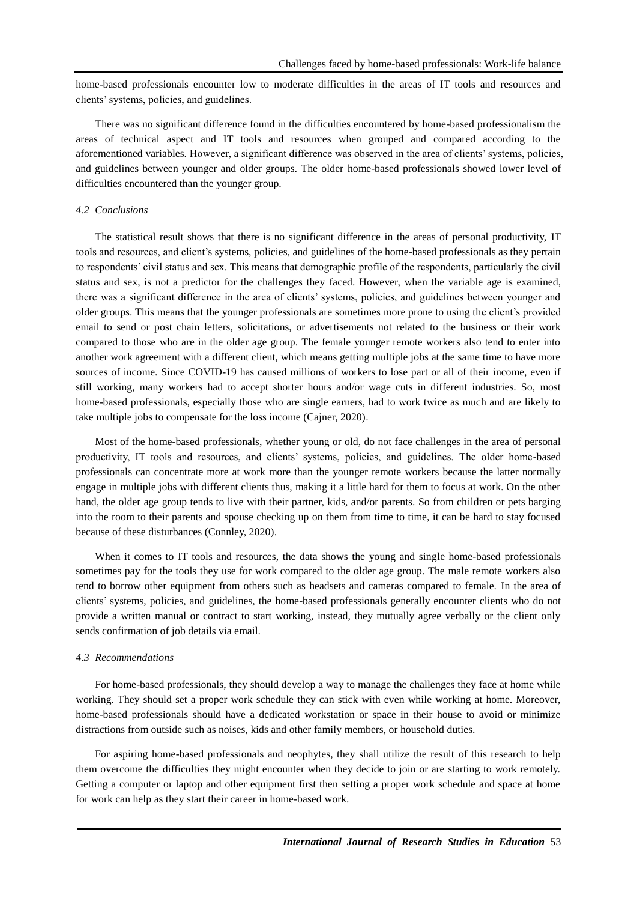home-based professionals encounter low to moderate difficulties in the areas of IT tools and resources and clients' systems, policies, and guidelines.

There was no significant difference found in the difficulties encountered by home-based professionalism the areas of technical aspect and IT tools and resources when grouped and compared according to the aforementioned variables. However, a significant difference was observed in the area of clients' systems, policies, and guidelines between younger and older groups. The older home-based professionals showed lower level of difficulties encountered than the younger group.

## *4.2 Conclusions*

The statistical result shows that there is no significant difference in the areas of personal productivity, IT tools and resources, and client's systems, policies, and guidelines of the home-based professionals as they pertain to respondents' civil status and sex. This means that demographic profile of the respondents, particularly the civil status and sex, is not a predictor for the challenges they faced. However, when the variable age is examined, there was a significant difference in the area of clients' systems, policies, and guidelines between younger and older groups. This means that the younger professionals are sometimes more prone to using the client's provided email to send or post chain letters, solicitations, or advertisements not related to the business or their work compared to those who are in the older age group. The female younger remote workers also tend to enter into another work agreement with a different client, which means getting multiple jobs at the same time to have more sources of income. Since COVID-19 has caused millions of workers to lose part or all of their income, even if still working, many workers had to accept shorter hours and/or wage cuts in different industries. So, most home-based professionals, especially those who are single earners, had to work twice as much and are likely to take multiple jobs to compensate for the loss income (Cajner, 2020).

Most of the home-based professionals, whether young or old, do not face challenges in the area of personal productivity, IT tools and resources, and clients' systems, policies, and guidelines. The older home-based professionals can concentrate more at work more than the younger remote workers because the latter normally engage in multiple jobs with different clients thus, making it a little hard for them to focus at work. On the other hand, the older age group tends to live with their partner, kids, and/or parents. So from children or pets barging into the room to their parents and spouse checking up on them from time to time, it can be hard to stay focused because of these disturbances (Connley, 2020).

When it comes to IT tools and resources, the data shows the young and single home-based professionals sometimes pay for the tools they use for work compared to the older age group. The male remote workers also tend to borrow other equipment from others such as headsets and cameras compared to female. In the area of clients' systems, policies, and guidelines, the home-based professionals generally encounter clients who do not provide a written manual or contract to start working, instead, they mutually agree verbally or the client only sends confirmation of job details via email.

#### *4.3 Recommendations*

For home-based professionals, they should develop a way to manage the challenges they face at home while working. They should set a proper work schedule they can stick with even while working at home. Moreover, home-based professionals should have a dedicated workstation or space in their house to avoid or minimize distractions from outside such as noises, kids and other family members, or household duties.

For aspiring home-based professionals and neophytes, they shall utilize the result of this research to help them overcome the difficulties they might encounter when they decide to join or are starting to work remotely. Getting a computer or laptop and other equipment first then setting a proper work schedule and space at home for work can help as they start their career in home-based work.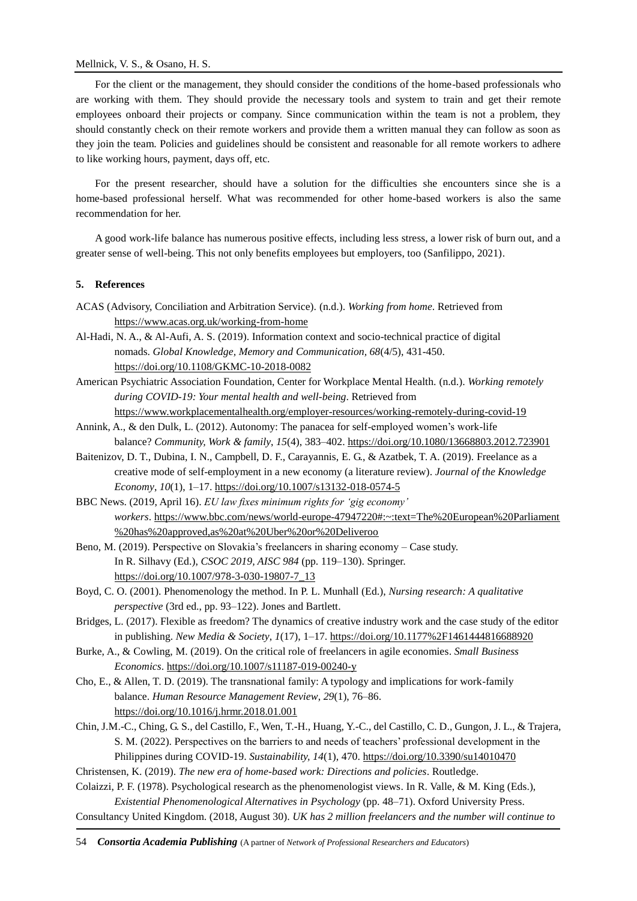# Mellnick, V. S., & Osano, H. S.

For the client or the management, they should consider the conditions of the home-based professionals who are working with them. They should provide the necessary tools and system to train and get their remote employees onboard their projects or company. Since communication within the team is not a problem, they should constantly check on their remote workers and provide them a written manual they can follow as soon as they join the team. Policies and guidelines should be consistent and reasonable for all remote workers to adhere to like working hours, payment, days off, etc.

For the present researcher, should have a solution for the difficulties she encounters since she is a home-based professional herself. What was recommended for other home-based workers is also the same recommendation for her.

A good work-life balance has numerous positive effects, including less stress, a lower risk of burn out, and a greater sense of well-being. This not only benefits employees but employers, too (Sanfilippo, 2021).

# **5. References**

- ACAS (Advisory, Conciliation and Arbitration Service). (n.d.). *Working from home*. Retrieved from <https://www.acas.org.uk/working-from-home>
- Al-Hadi, N. A., & Al-Aufi, A. S. (2019). Information context and socio-technical practice of digital nomads. *Global Knowledge, Memory and Communication, 68*(4/5), 431-450. <https://doi.org/10.1108/GKMC-10-2018-0082>
- American Psychiatric Association Foundation, Center for Workplace Mental Health. (n.d.). *Working remotely during COVID-19: Your mental health and well-being*. Retrieved from <https://www.workplacementalhealth.org/employer-resources/working-remotely-during-covid-19>
- Annink, A., & den Dulk, L. (2012). Autonomy: The panacea for self-employed women's work-life balance? *Community, Work & family*, *15*(4), 383–402. [https://doi.org/10.1080/13668803.2012.723901](https://doi.org/)
- Baitenizov, D. T., Dubina, I. N., Campbell, D. F., Carayannis, E. G., & Azatbek, T. A. (2019). Freelance as a creative mode of self-employment in a new economy (a literature review). *Journal of the Knowledge Economy*, *10*(1), 1–17. [https://doi.org/10.1007/s13132-018-0574-5](https://doi.org/)
- BBC News. (2019, April 16). *EU law fixes minimum rights for 'gig economy' workers*. [https://www.bbc.com/news/world-europe-47947220#:~:text=The%20European%20Parliament](https://www.bbc.com/news/world-europe-47947220#:~:text=The%20European%20Parliament%20has%20approved,as%20at%20Uber%20or%20Deliveroo) [%20has%20approved,as%20at%20Uber%20or%20Deliveroo](https://www.bbc.com/news/world-europe-47947220#:~:text=The%20European%20Parliament%20has%20approved,as%20at%20Uber%20or%20Deliveroo)
- Beno, M. (2019). Perspective on Slovakia's freelancers in sharing economy Case study. In R. Silhavy (Ed.), *CSOC 2019, AISC 984* (pp. 119–130). Springer. [https://doi.org/10.1007/978-3-030-19807-7\\_13](https://doi.org/10.1007/978-3-030-19807-7_13)
- Boyd, C. O. (2001). Phenomenology the method. In P. L. Munhall (Ed.), *Nursing research: A qualitative perspective* (3rd ed., pp. 93–122). Jones and Bartlett.
- Bridges, L. (2017). Flexible as freedom? The dynamics of creative industry work and the case study of the editor in publishing. *New Media & Society*, *1*(17), 1–17. [https://doi.org/10.1177%2F1461444816688920](https://doi.org/)
- Burke, A., & Cowling, M. (2019). On the critical role of freelancers in agile economies. *Small Business Economics*. [https://doi.org/10.1007/s11187-019-00240-y](https://doi.org/)
- Cho, E., & Allen, T. D. (2019). The transnational family: A typology and implications for work-family balance. *Human Resource Management Review*, *29*(1), 76–86. [https://doi.org/10.1016/j.hrmr.2018.01.001](https://doi.org/)
- Chin, J.M.-C., Ching, G. S., del Castillo, F., Wen, T.-H., Huang, Y.-C., del Castillo, C. D., Gungon, J. L., & Trajera, S. M. (2022). Perspectives on the barriers to and needs of teachers' professional development in the Philippines during COVID-19. *Sustainability, 14*(1), 470.<https://doi.org/10.3390/su14010470>
- Christensen, K. (2019). *The new era of home-based work: Directions and policies*. Routledge.
- Colaizzi, P. F. (1978). Psychological research as the phenomenologist views. In R. Valle, & M. King (Eds.), *Existential Phenomenological Alternatives in Psychology* (pp. 48–71). Oxford University Press.
- Consultancy United Kingdom. (2018, August 30). *UK has 2 million freelancers and the number will continue to*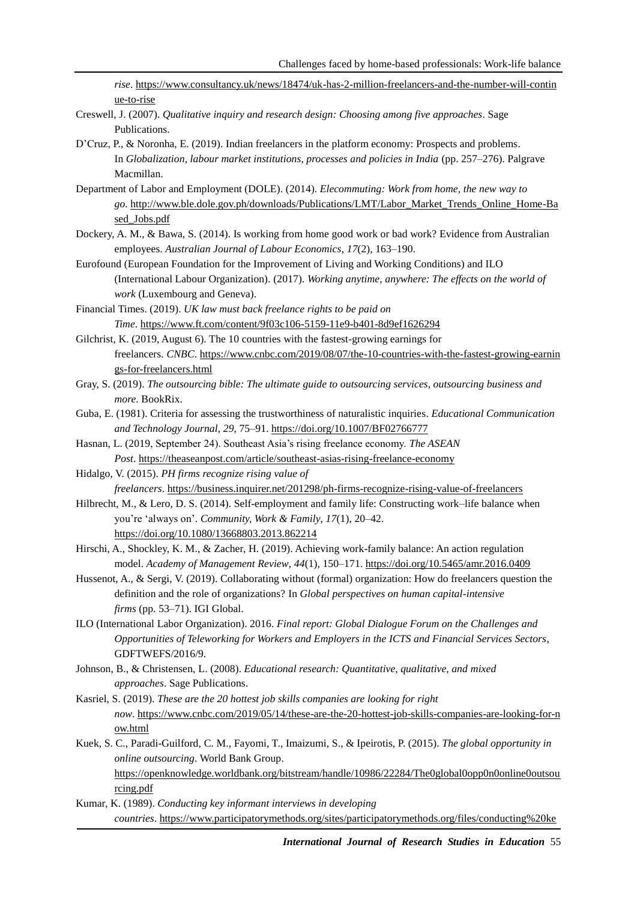*rise*. [https://www.consultancy.uk/news/18474/uk-has-2-million-freelancers-and-the-number-will-contin](https://www.consultancy.uk/news/18474/uk-has-2-million-freelancers-and-the-number-will-continue-to-rise) [ue-to-rise](https://www.consultancy.uk/news/18474/uk-has-2-million-freelancers-and-the-number-will-continue-to-rise)

- Creswell, J. (2007). *Qualitative inquiry and research design: Choosing among five approaches*. Sage Publications.
- D'Cruz, P., & Noronha, E. (2019). Indian freelancers in the platform economy: Prospects and problems. In *Globalization, labour market institutions, processes and policies in India* (pp. 257–276). Palgrave Macmillan.
- Department of Labor and Employment (DOLE). (2014). *Elecommuting: Work from home, the new way to go*. [http://www.ble.dole.gov.ph/downloads/Publications/LMT/Labor\\_Market\\_Trends\\_Online\\_Home-Ba](http://www.ble.dole.gov.ph/downloads/Publications/LMT/Labor_Market_Trends_Online_Home-Based_Jobs.pdf) [sed\\_Jobs.pdf](http://www.ble.dole.gov.ph/downloads/Publications/LMT/Labor_Market_Trends_Online_Home-Based_Jobs.pdf)
- Dockery, A. M., & Bawa, S. (2014). Is working from home good work or bad work? Evidence from Australian employees. *Australian Journal of Labour Economics*, *17*(2), 163–190.
- Eurofound (European Foundation for the Improvement of Living and Working Conditions) and ILO (International Labour Organization). (2017). *Working anytime, anywhere: The effects on the world of work* (Luxembourg and Geneva).
- Financial Times. (2019). *UK law must back freelance rights to be paid on Time*. <https://www.ft.com/content/9f03c106-5159-11e9-b401-8d9ef1626294>
- Gilchrist, K. (2019, August 6). The 10 countries with the fastest-growing earnings for freelancers. *CNBC*. [https://www.cnbc.com/2019/08/07/the-10-countries-with-the-fastest-growing-earnin](https://www.cnbc.com/2019/08/07/the-10-countries-with-the-fastest-growing-earnings-for-freelancers.html) [gs-for-freelancers.html](https://www.cnbc.com/2019/08/07/the-10-countries-with-the-fastest-growing-earnings-for-freelancers.html)
- Gray, S. (2019). *The outsourcing bible: The ultimate guide to outsourcing services, outsourcing business and more*. BookRix.
- Guba, E. (1981). Criteria for assessing the trustworthiness of naturalistic inquiries. *Educational Communication and Technology Journal*, *29*, 75–91. <https://doi.org/10.1007/BF02766777>
- Hasnan, L. (2019, September 24). Southeast Asia's rising freelance economy. *The ASEAN Post*. <https://theaseanpost.com/article/southeast-asias-rising-freelance-economy>
- Hidalgo, V. (2015). *PH firms recognize rising value of freelancers*. <https://business.inquirer.net/201298/ph-firms-recognize-rising-value-of-freelancers>
- Hilbrecht, M., & Lero, D. S. (2014). Self-employment and family life: Constructing work–life balance when you're 'always on'. *Community, Work & Family*, *17*(1), 20–42. [https://doi.org/10.1080/13668803.2013.862214](https://doi.org/)
- Hirschi, A., Shockley, K. M., & Zacher, H. (2019). Achieving work-family balance: An action regulation model. *Academy of Management Review*, *44*(1), 150–171. [https://doi.org/10.5465/amr.2016.0409](https://doi.org/)
- Hussenot, A., & Sergi, V. (2019). Collaborating without (formal) organization: How do freelancers question the definition and the role of organizations? In *Global perspectives on human capital-intensive firms* (pp. 53–71). IGI Global.
- ILO (International Labor Organization). 2016. *Final report: Global Dialogue Forum on the Challenges and Opportunities of Teleworking for Workers and Employers in the ICTS and Financial Services Sectors*, GDFTWEFS/2016/9.
- Johnson, B., & Christensen, L. (2008). *Educational research: Quantitative, qualitative, and mixed approaches*. Sage Publications.
- Kasriel, S. (2019). *These are the 20 hottest job skills companies are looking for right now*. [https://www.cnbc.com/2019/05/14/these-are-the-20-hottest-job-skills-companies-are-looking-for-n](https://www.cnbc.com/2019/05/14/these-are-the-20-hottest-job-skills-companies-are-looking-for-now.html) [ow.html](https://www.cnbc.com/2019/05/14/these-are-the-20-hottest-job-skills-companies-are-looking-for-now.html)
- Kuek, S. C., Paradi-Guilford, C. M., Fayomi, T., Imaizumi, S., & Ipeirotis, P. (2015). *The global opportunity in online outsourcing*. World Bank Group. [https://openknowledge.worldbank.org/bitstream/handle/10986/22284/The0global0opp0n0online0outsou](https://openknowledge.worldbank.org/bitstream/handle/10986/22284/The0global0opp0n0online0outsourcing.pdf) [rcing.pdf](https://openknowledge.worldbank.org/bitstream/handle/10986/22284/The0global0opp0n0online0outsourcing.pdf)
- Kumar, K. (1989). *Conducting key informant interviews in developing countries*. [https://www.participatorymethods.org/sites/participatorymethods.org/files/conducting%20ke](https://www.participatorymethods.org/sites/participatorymethods.org/files/conducting%20key%20informant%20interviews_kumar.pdf)